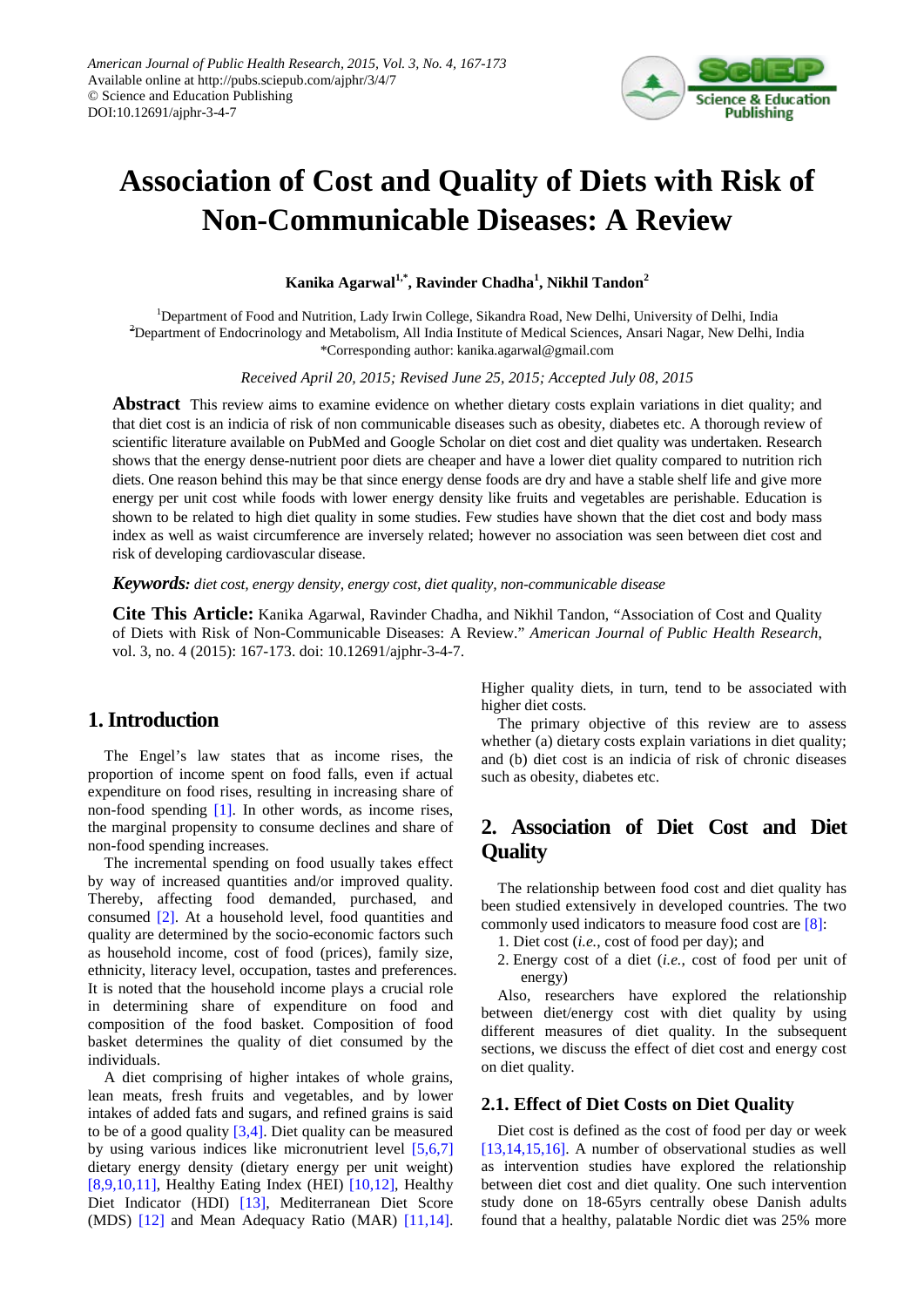

# **Association of Cost and Quality of Diets with Risk of Non-Communicable Diseases: A Review**

**Kanika Agarwal1,\*, Ravinder Chadha1 , Nikhil Tandon2**

<sup>1</sup>Department of Food and Nutrition, Lady Irwin College, Sikandra Road, New Delhi, University of Delhi, India 2 Department of Endocrinology and Metabolism, All India Institute of Medical Sciences, Ansari Nagar, New Delhi, India \*Corresponding author: kanika.agarwal@gmail.com

*Received April 20, 2015; Revised June 25, 2015; Accepted July 08, 2015*

**Abstract** This review aims to examine evidence on whether dietary costs explain variations in diet quality; and that diet cost is an indicia of risk of non communicable diseases such as obesity, diabetes etc. A thorough review of scientific literature available on PubMed and Google Scholar on diet cost and diet quality was undertaken. Research shows that the energy dense-nutrient poor diets are cheaper and have a lower diet quality compared to nutrition rich diets. One reason behind this may be that since energy dense foods are dry and have a stable shelf life and give more energy per unit cost while foods with lower energy density like fruits and vegetables are perishable. Education is shown to be related to high diet quality in some studies. Few studies have shown that the diet cost and body mass index as well as waist circumference are inversely related; however no association was seen between diet cost and risk of developing cardiovascular disease.

*Keywords: diet cost, energy density, energy cost, diet quality, non-communicable disease*

**Cite This Article:** Kanika Agarwal, Ravinder Chadha, and Nikhil Tandon, "Association of Cost and Quality of Diets with Risk of Non-Communicable Diseases: A Review." *American Journal of Public Health Research*, vol. 3, no. 4 (2015): 167-173. doi: 10.12691/ajphr-3-4-7.

### **1. Introduction**

The Engel's law states that as income rises, the proportion of income spent on food falls, even if actual expenditure on food rises, resulting in increasing share of non-food spending [\[1\].](#page-5-0) In other words, as income rises, the marginal propensity to consume declines and share of non-food spending increases.

The incremental spending on food usually takes effect by way of increased quantities and/or improved quality. Thereby, affecting food demanded, purchased, and consumed [\[2\].](#page-5-1) At a household level, food quantities and quality are determined by the socio-economic factors such as household income, cost of food (prices), family size, ethnicity, literacy level, occupation, tastes and preferences. It is noted that the household income plays a crucial role in determining share of expenditure on food and composition of the food basket. Composition of food basket determines the quality of diet consumed by the individuals.

A diet comprising of higher intakes of whole grains, lean meats, fresh fruits and vegetables, and by lower intakes of added fats and sugars, and refined grains is said to be of a good quality [\[3,4\].](#page-5-2) Diet quality can be measured by using various indices like micronutrient level [\[5,6,7\]](#page-5-3) dietary energy density (dietary energy per unit weight) [\[8,9,10,11\],](#page-5-4) Healthy Eating Index (HEI)  $[10,12]$ , Healthy Diet Indicator (HDI) [\[13\],](#page-6-0) Mediterranean Diet Score (MDS) [\[12\]](#page-6-1) and Mean Adequacy Ratio (MAR) [\[11,14\].](#page-5-6) Higher quality diets, in turn, tend to be associated with higher diet costs.

The primary objective of this review are to assess whether (a) dietary costs explain variations in diet quality; and (b) diet cost is an indicia of risk of chronic diseases such as obesity, diabetes etc.

## **2. Association of Diet Cost and Diet Quality**

The relationship between food cost and diet quality has been studied extensively in developed countries. The two commonly used indicators to measure food cost are [\[8\]:](#page-5-4)

- 1. Diet cost (*i.e.*, cost of food per day); and
- 2. Energy cost of a diet (*i.e.*, cost of food per unit of energy)

Also, researchers have explored the relationship between diet/energy cost with diet quality by using different measures of diet quality. In the subsequent sections, we discuss the effect of diet cost and energy cost on diet quality.

#### **2.1. Effect of Diet Costs on Diet Quality**

Diet cost is defined as the cost of food per day or week [\[13,14,15,16\].](#page-6-0) A number of observational studies as well as intervention studies have explored the relationship between diet cost and diet quality. One such intervention study done on 18-65yrs centrally obese Danish adults found that a healthy, palatable Nordic diet was 25% more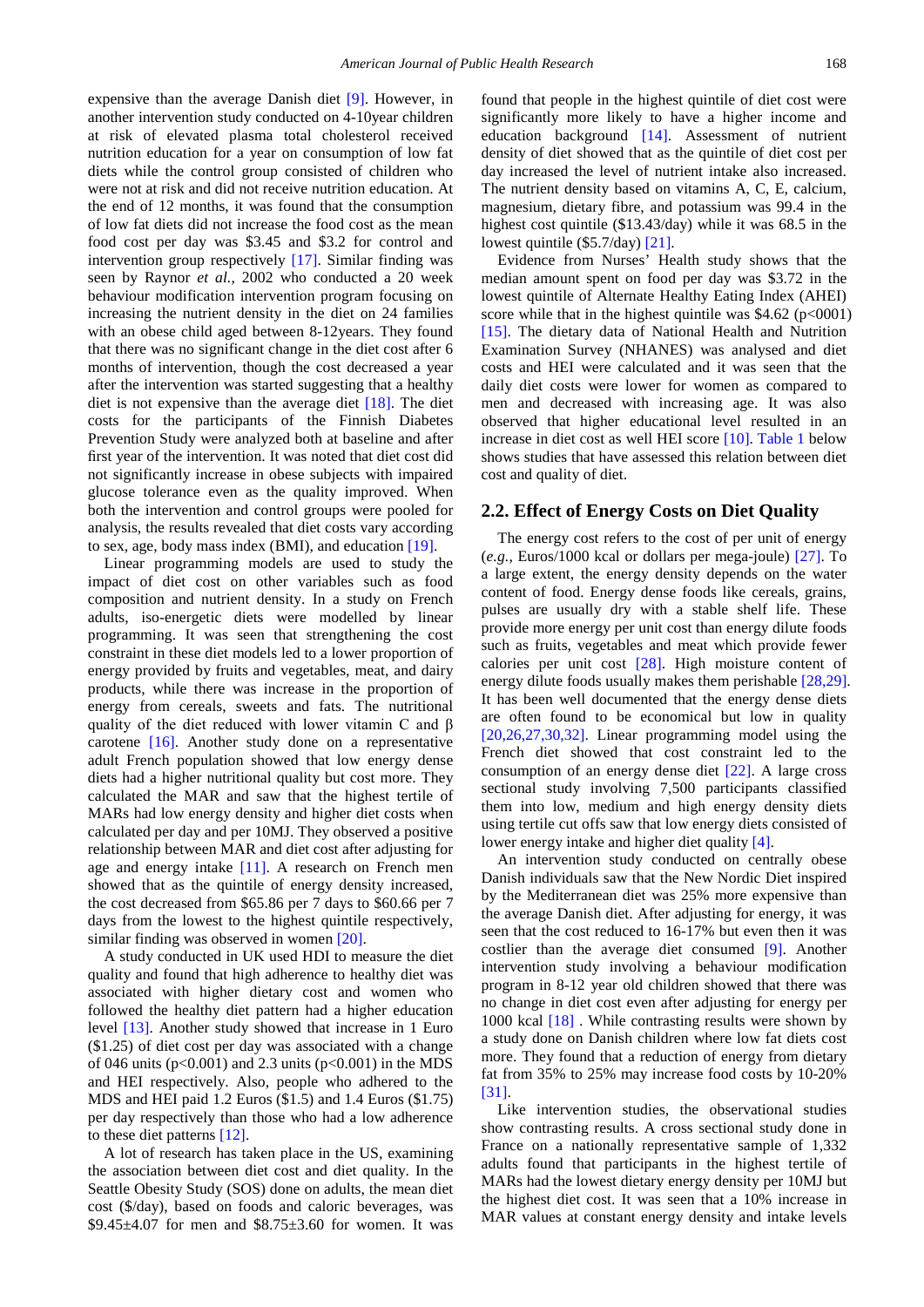expensive than the average Danish diet [\[9\].](#page-5-7) However, in another intervention study conducted on 4-10year children at risk of elevated plasma total cholesterol received nutrition education for a year on consumption of low fat diets while the control group consisted of children who were not at risk and did not receive nutrition education. At the end of 12 months, it was found that the consumption of low fat diets did not increase the food cost as the mean food cost per day was \$3.45 and \$3.2 for control and intervention group respectively [\[17\].](#page-6-2) Similar finding was seen by Raynor *et al.,* 2002 who conducted a 20 week behaviour modification intervention program focusing on increasing the nutrient density in the diet on 24 families with an obese child aged between 8-12years. They found that there was no significant change in the diet cost after 6 months of intervention, though the cost decreased a year after the intervention was started suggesting that a healthy diet is not expensive than the average diet [\[18\].](#page-6-3) The diet costs for the participants of the Finnish Diabetes Prevention Study were analyzed both at baseline and after first year of the intervention. It was noted that diet cost did not significantly increase in obese subjects with impaired glucose tolerance even as the quality improved. When both the intervention and control groups were pooled for analysis, the results revealed that diet costs vary according to sex, age, body mass index (BMI), and education [\[19\].](#page-6-4)

Linear programming models are used to study the impact of diet cost on other variables such as food composition and nutrient density. In a study on French adults, iso-energetic diets were modelled by linear programming. It was seen that strengthening the cost constraint in these diet models led to a lower proportion of energy provided by fruits and vegetables, meat, and dairy products, while there was increase in the proportion of energy from cereals, sweets and fats. The nutritional quality of the diet reduced with lower vitamin C and β carotene [\[16\].](#page-6-5) Another study done on a representative adult French population showed that low energy dense diets had a higher nutritional quality but cost more. They calculated the MAR and saw that the highest tertile of MARs had low energy density and higher diet costs when calculated per day and per 10MJ. They observed a positive relationship between MAR and diet cost after adjusting for age and energy intake [\[11\].](#page-5-6) A research on French men showed that as the quintile of energy density increased, the cost decreased from \$65.86 per 7 days to \$60.66 per 7 days from the lowest to the highest quintile respectively, similar finding was observed in women [\[20\].](#page-6-6)

A study conducted in UK used HDI to measure the diet quality and found that high adherence to healthy diet was associated with higher dietary cost and women who followed the healthy diet pattern had a higher education level [\[13\].](#page-6-0) Another study showed that increase in 1 Euro (\$1.25) of diet cost per day was associated with a change of 046 units ( $p < 0.001$ ) and 2.3 units ( $p < 0.001$ ) in the MDS and HEI respectively. Also, people who adhered to the MDS and HEI paid 1.2 Euros (\$1.5) and 1.4 Euros (\$1.75) per day respectively than those who had a low adherence to these diet patterns [\[12\].](#page-6-1)

A lot of research has taken place in the US, examining the association between diet cost and diet quality. In the Seattle Obesity Study (SOS) done on adults, the mean diet cost (\$/day), based on foods and caloric beverages, was \$9.45 $\pm$ 4.07 for men and \$8.75 $\pm$ 3.60 for women. It was found that people in the highest quintile of diet cost were significantly more likely to have a higher income and education background [\[14\].](#page-6-7) Assessment of nutrient density of diet showed that as the quintile of diet cost per day increased the level of nutrient intake also increased. The nutrient density based on vitamins A, C, E, calcium, magnesium, dietary fibre, and potassium was 99.4 in the highest cost quintile (\$13.43/day) while it was 68.5 in the lowest quintile (\$5.7/day[\) \[21\].](#page-6-8) 

Evidence from Nurses' Health study shows that the median amount spent on food per day was \$3.72 in the lowest quintile of Alternate Healthy Eating Index (AHEI) score while that in the highest quintile was  $$4.62$  (p<0001) [\[15\].](#page-6-9) The dietary data of National Health and Nutrition Examination Survey (NHANES) was analysed and diet costs and HEI were calculated and it was seen that the daily diet costs were lower for women as compared to men and decreased with increasing age. It was also observed that higher educational level resulted in an increase in diet cost as well HEI score [\[10\].](#page-5-5) [Table 1](#page-2-0) below shows studies that have assessed this relation between diet cost and quality of diet.

#### **2.2. Effect of Energy Costs on Diet Quality**

The energy cost refers to the cost of per unit of energy (*e.g.*, Euros/1000 kcal or dollars per mega-joule) [\[27\].](#page-6-10) To a large extent, the energy density depends on the water content of food. Energy dense foods like cereals, grains, pulses are usually dry with a stable shelf life. These provide more energy per unit cost than energy dilute foods such as fruits, vegetables and meat which provide fewer calories per unit cost [\[28\].](#page-6-11) High moisture content of energy dilute foods usually makes them perishable [\[28,29\].](#page-6-11) It has been well documented that the energy dense diets are often found to be economical but low in quality [\[20,26,27,30,32\].](#page-6-6) Linear programming model using the French diet showed that cost constraint led to the consumption of an energy dense diet [\[22\].](#page-6-12) A large cross sectional study involving 7,500 participants classified them into low, medium and high energy density diets using tertile cut offs saw that low energy diets consisted of lower energy intake and higher diet quality [\[4\].](#page-5-8)

An intervention study conducted on centrally obese Danish individuals saw that the New Nordic Diet inspired by the Mediterranean diet was 25% more expensive than the average Danish diet. After adjusting for energy, it was seen that the cost reduced to 16-17% but even then it was costlier than the average diet consumed [\[9\].](#page-5-7) Another intervention study involving a behaviour modification program in 8-12 year old children showed that there was no change in diet cost even after adjusting for energy per 1000 kcal [\[18\]](#page-6-3) . While contrasting results were shown by a study done on Danish children where low fat diets cost more. They found that a reduction of energy from dietary fat from 35% to 25% may increase food costs by 10-20% [\[31\].](#page-6-13)

Like intervention studies, the observational studies show contrasting results. A cross sectional study done in France on a nationally representative sample of 1,332 adults found that participants in the highest tertile of MARs had the lowest dietary energy density per 10MJ but the highest diet cost. It was seen that a 10% increase in MAR values at constant energy density and intake levels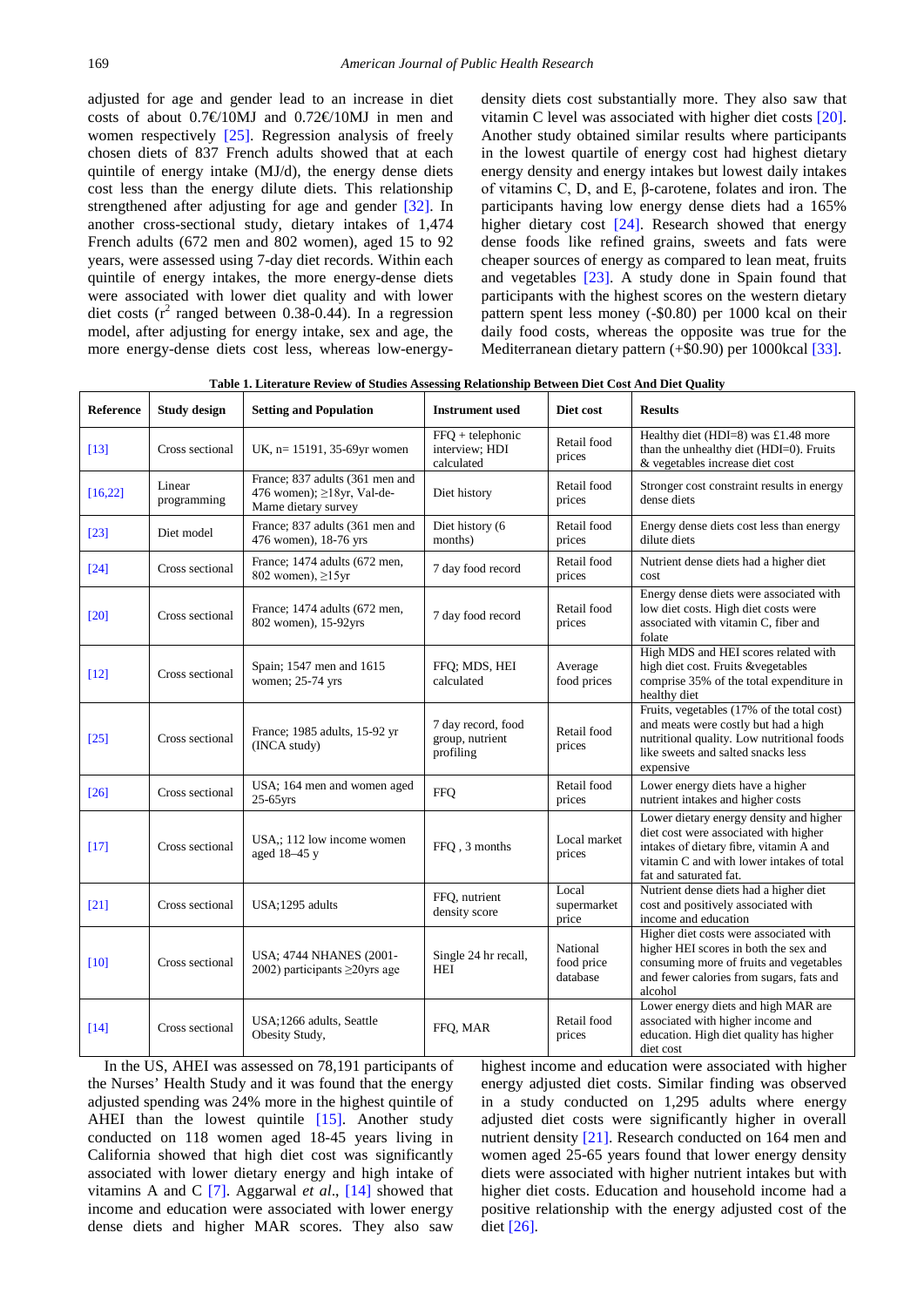adjusted for age and gender lead to an increase in diet costs of about  $0.7 \text{ } \text{ } 10 \text{ } M$  and  $0.72 \text{ } \text{ } 10 \text{ } M$  in men and women respectively [\[25\].](#page-6-14) Regression analysis of freely chosen diets of 837 French adults showed that at each quintile of energy intake (MJ/d), the energy dense diets cost less than the energy dilute diets. This relationship strengthened after adjusting for age and gender [\[32\].](#page-6-15) In another cross-sectional study, dietary intakes of 1,474 French adults (672 men and 802 women), aged 15 to 92 years, were assessed using 7-day diet records. Within each quintile of energy intakes, the more energy-dense diets were associated with lower diet quality and with lower diet costs ( $r^2$  ranged between 0.38-0.44). In a regression model, after adjusting for energy intake, sex and age, the more energy-dense diets cost less, whereas low-energydensity diets cost substantially more. They also saw that vitamin C level was associated with higher diet costs [\[20\].](#page-6-6) Another study obtained similar results where participants in the lowest quartile of energy cost had highest dietary energy density and energy intakes but lowest daily intakes of vitamins C, D, and E, β-carotene, folates and iron. The participants having low energy dense diets had a 165% higher dietary cost [\[24\].](#page-6-16) Research showed that energy dense foods like refined grains, sweets and fats were cheaper sources of energy as compared to lean meat, fruits and vegetables [\[23\].](#page-6-17) A study done in Spain found that participants with the highest scores on the western dietary pattern spent less money (-\$0.80) per 1000 kcal on their daily food costs, whereas the opposite was true for the Mediterranean dietary pattern (+\$0.90) per 1000kcal [\[33\].](#page-6-18)

<span id="page-2-0"></span>

| <b>Reference</b> | <b>Study design</b>   | <b>Setting and Population</b>                                                               | <b>Instrument</b> used                             | Diet cost                          | <b>Results</b>                                                                                                                                                                                     |
|------------------|-----------------------|---------------------------------------------------------------------------------------------|----------------------------------------------------|------------------------------------|----------------------------------------------------------------------------------------------------------------------------------------------------------------------------------------------------|
| $[13]$           | Cross sectional       | UK, n= 15191, 35-69yr women                                                                 | $FFO + telephone$<br>interview; HDI<br>calculated  | Retail food<br>prices              | Healthy diet (HDI=8) was £1.48 more<br>than the unhealthy diet (HDI=0). Fruits<br>& vegetables increase diet cost                                                                                  |
| [16, 22]         | Linear<br>programming | France; 837 adults (361 men and<br>476 women); $\geq$ 18yr, Val-de-<br>Marne dietary survey | Diet history                                       | Retail food<br>prices              | Stronger cost constraint results in energy<br>dense diets                                                                                                                                          |
| $[23]$           | Diet model            | France; 837 adults (361 men and<br>476 women), 18-76 yrs                                    | Diet history (6<br>months)                         | Retail food<br>prices              | Energy dense diets cost less than energy<br>dilute diets                                                                                                                                           |
| $[24]$           | Cross sectional       | France; 1474 adults (672 men,<br>802 women), $\geq 15$ yr                                   | 7 day food record                                  | Retail food<br>prices              | Nutrient dense diets had a higher diet<br>cost                                                                                                                                                     |
| [20]             | Cross sectional       | France; 1474 adults (672 men,<br>802 women), 15-92yrs                                       | 7 day food record                                  | Retail food<br>prices              | Energy dense diets were associated with<br>low diet costs. High diet costs were<br>associated with vitamin C, fiber and<br>folate                                                                  |
| $[12]$           | Cross sectional       | Spain; 1547 men and 1615<br>women; 25-74 yrs                                                | FFQ; MDS, HEI<br>calculated                        | Average<br>food prices             | High MDS and HEI scores related with<br>high diet cost. Fruits &vegetables<br>comprise 35% of the total expenditure in<br>healthy diet                                                             |
| $[25]$           | Cross sectional       | France; 1985 adults, 15-92 yr<br>(INCA study)                                               | 7 day record, food<br>group, nutrient<br>profiling | Retail food<br>prices              | Fruits, vegetables (17% of the total cost)<br>and meats were costly but had a high<br>nutritional quality. Low nutritional foods<br>like sweets and salted snacks less<br>expensive                |
| $[26]$           | Cross sectional       | USA; 164 men and women aged<br>$25-65$ yrs                                                  | <b>FFQ</b>                                         | Retail food<br>prices              | Lower energy diets have a higher<br>nutrient intakes and higher costs                                                                                                                              |
| $[17]$           | Cross sectional       | USA,; 112 low income women<br>aged 18-45 y                                                  | FFO, 3 months                                      | Local market<br>prices             | Lower dietary energy density and higher<br>diet cost were associated with higher<br>intakes of dietary fibre, vitamin A and<br>vitamin C and with lower intakes of total<br>fat and saturated fat. |
| $[21]$           | Cross sectional       | USA;1295 adults                                                                             | FFQ, nutrient<br>density score                     | Local<br>supermarket<br>price      | Nutrient dense diets had a higher diet<br>cost and positively associated with<br>income and education                                                                                              |
| [10]             | Cross sectional       | <b>USA</b> ; 4744 NHANES (2001-<br>2002) participants $\geq$ 20 yrs age                     | Single 24 hr recall,<br><b>HEI</b>                 | National<br>food price<br>database | Higher diet costs were associated with<br>higher HEI scores in both the sex and<br>consuming more of fruits and vegetables<br>and fewer calories from sugars, fats and<br>alcohol                  |
| $[14]$           | Cross sectional       | USA;1266 adults, Seattle<br>Obesity Study,                                                  | FFO, MAR                                           | Retail food<br>prices              | Lower energy diets and high MAR are<br>associated with higher income and<br>education. High diet quality has higher<br>diet cost                                                                   |

**Table 1. Literature Review of Studies Assessing Relationship Between Diet Cost And Diet Quality**

In the US, AHEI was assessed on 78,191 participants of the Nurses' Health Study and it was found that the energy adjusted spending was 24% more in the highest quintile of AHEI than the lowest quintile [\[15\].](#page-6-9) Another study conducted on 118 women aged 18-45 years living in California showed that high diet cost was significantly associated with lower dietary energy and high intake of vitamins A and C [\[7\].](#page-5-9) Aggarwal *et al*., [\[14\]](#page-6-7) showed that income and education were associated with lower energy dense diets and higher MAR scores. They also saw

highest income and education were associated with higher energy adjusted diet costs. Similar finding was observed in a study conducted on 1,295 adults where energy adjusted diet costs were significantly higher in overall nutrient density [\[21\].](#page-6-8) Research conducted on 164 men and women aged 25-65 years found that lower energy density diets were associated with higher nutrient intakes but with higher diet costs. Education and household income had a positive relationship with the energy adjusted cost of the die[t \[26\].](#page-6-19)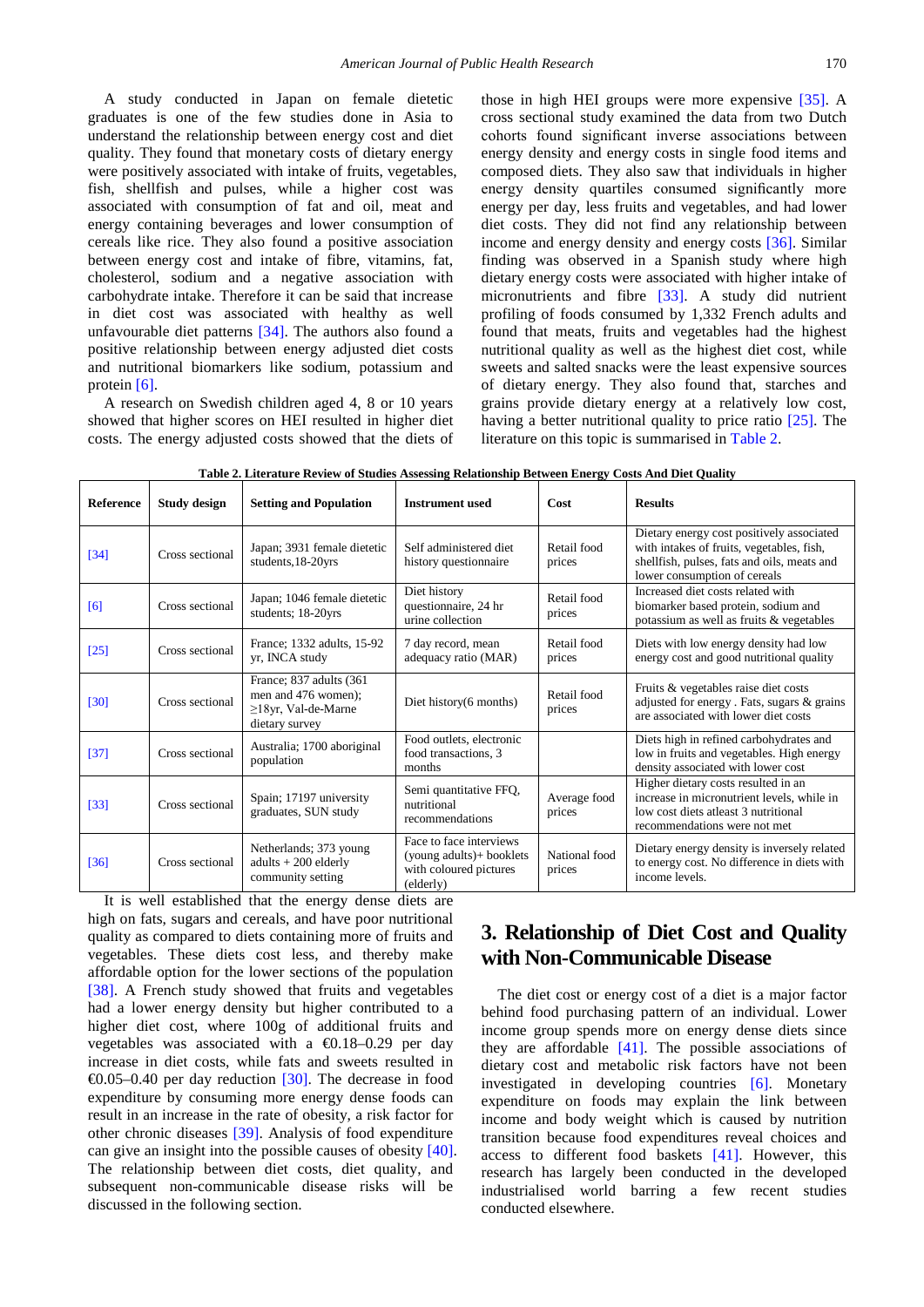A study conducted in Japan on female dietetic graduates is one of the few studies done in Asia to understand the relationship between energy cost and diet quality. They found that monetary costs of dietary energy were positively associated with intake of fruits, vegetables, fish, shellfish and pulses, while a higher cost was associated with consumption of fat and oil, meat and energy containing beverages and lower consumption of cereals like rice. They also found a positive association between energy cost and intake of fibre, vitamins, fat, cholesterol, sodium and a negative association with carbohydrate intake. Therefore it can be said that increase in diet cost was associated with healthy as well unfavourable diet patterns [\[34\].](#page-6-20) The authors also found a positive relationship between energy adjusted diet costs and nutritional biomarkers like sodium, potassium and protein [\[6\].](#page-5-10)

A research on Swedish children aged 4, 8 or 10 years showed that higher scores on HEI resulted in higher diet costs. The energy adjusted costs showed that the diets of those in high HEI groups were more expensive [\[35\].](#page-6-21) A cross sectional study examined the data from two Dutch cohorts found significant inverse associations between energy density and energy costs in single food items and composed diets. They also saw that individuals in higher energy density quartiles consumed significantly more energy per day, less fruits and vegetables, and had lower diet costs. They did not find any relationship between income and energy density and energy costs [\[36\].](#page-6-22) Similar finding was observed in a Spanish study where high dietary energy costs were associated with higher intake of micronutrients and fibre [\[33\].](#page-6-18) A study did nutrient profiling of foods consumed by 1,332 French adults and found that meats, fruits and vegetables had the highest nutritional quality as well as the highest diet cost, while sweets and salted snacks were the least expensive sources of dietary energy. They also found that, starches and grains provide dietary energy at a relatively low cost, having a better nutritional quality to price ratio [\[25\].](#page-6-14) The literature on this topic is summarised in [Table 2.](#page-3-0)

<span id="page-3-0"></span>

| <b>Reference</b> | Study design    | <b>Setting and Population</b>                                                                  | <b>Instrument</b> used                                                                     | Cost                    | <b>Results</b>                                                                                                                                                        |
|------------------|-----------------|------------------------------------------------------------------------------------------------|--------------------------------------------------------------------------------------------|-------------------------|-----------------------------------------------------------------------------------------------------------------------------------------------------------------------|
| [34]             | Cross sectional | Japan; 3931 female dietetic<br>students, 18-20yrs                                              | Self administered diet<br>history questionnaire                                            | Retail food<br>prices   | Dietary energy cost positively associated<br>with intakes of fruits, vegetables, fish,<br>shellfish, pulses, fats and oils, meats and<br>lower consumption of cereals |
| [6]              | Cross sectional | Japan; 1046 female dietetic<br>students; 18-20yrs                                              | Diet history<br>questionnaire, 24 hr<br>urine collection                                   | Retail food<br>prices   | Increased diet costs related with<br>biomarker based protein, sodium and<br>potassium as well as fruits & vegetables                                                  |
| $[25]$           | Cross sectional | France; 1332 adults, 15-92<br>yr, INCA study                                                   | 7 day record, mean<br>adequacy ratio (MAR)                                                 | Retail food<br>prices   | Diets with low energy density had low<br>energy cost and good nutritional quality                                                                                     |
| $[30]$           | Cross sectional | France; 837 adults (361)<br>men and 476 women);<br>$\geq$ 18yr, Val-de-Marne<br>dietary survey | Diet history(6 months)                                                                     | Retail food<br>prices   | Fruits & vegetables raise diet costs<br>adjusted for energy . Fats, sugars & grains<br>are associated with lower diet costs                                           |
| $[37]$           | Cross sectional | Australia; 1700 aboriginal<br>population                                                       | Food outlets, electronic<br>food transactions, 3<br>months                                 |                         | Diets high in refined carbohydrates and<br>low in fruits and vegetables. High energy<br>density associated with lower cost                                            |
| $[33]$           | Cross sectional | Spain; 17197 university<br>graduates, SUN study                                                | Semi quantitative FFQ,<br>nutritional<br>recommendations                                   | Average food<br>prices  | Higher dietary costs resulted in an<br>increase in micronutrient levels, while in<br>low cost diets at least 3 nutritional<br>recommendations were not met            |
| $[36]$           | Cross sectional | Netherlands; 373 young<br>$adults + 200$ elderly<br>community setting                          | Face to face interviews<br>(young adults)+ booklets<br>with coloured pictures<br>(elderly) | National food<br>prices | Dietary energy density is inversely related<br>to energy cost. No difference in diets with<br>income levels.                                                          |

| Table 2. Literature Review of Studies Assessing Relationship Between Energy Costs And Diet Quality |  |  |  |  |
|----------------------------------------------------------------------------------------------------|--|--|--|--|
|----------------------------------------------------------------------------------------------------|--|--|--|--|

It is well established that the energy dense diets are high on fats, sugars and cereals, and have poor nutritional quality as compared to diets containing more of fruits and vegetables. These diets cost less, and thereby make affordable option for the lower sections of the population [\[38\].](#page-6-25) A French study showed that fruits and vegetables had a lower energy density but higher contributed to a higher diet cost, where 100g of additional fruits and vegetables was associated with a €0.18–0.29 per day increase in diet costs, while fats and sweets resulted in  $\Theta$ .05–0.40 per day reduction [\[30\].](#page-6-23) The decrease in food expenditure by consuming more energy dense foods can result in an increase in the rate of obesity, a risk factor for other chronic diseases [\[39\].](#page-6-26) Analysis of food expenditure can give an insight into the possible causes of obesity [\[40\].](#page-6-27) The relationship between diet costs, diet quality, and subsequent non-communicable disease risks will be discussed in the following section.

## **3. Relationship of Diet Cost and Quality with Non-Communicable Disease**

The diet cost or energy cost of a diet is a major factor behind food purchasing pattern of an individual. Lower income group spends more on energy dense diets since they are affordable  $[41]$ . The possible associations of dietary cost and metabolic risk factors have not been investigated in developing countries [\[6\].](#page-5-10) Monetary expenditure on foods may explain the link between income and body weight which is caused by nutrition transition because food expenditures reveal choices and access to different food baskets [\[41\].](#page-6-28) However, this research has largely been conducted in the developed industrialised world barring a few recent studies conducted elsewhere.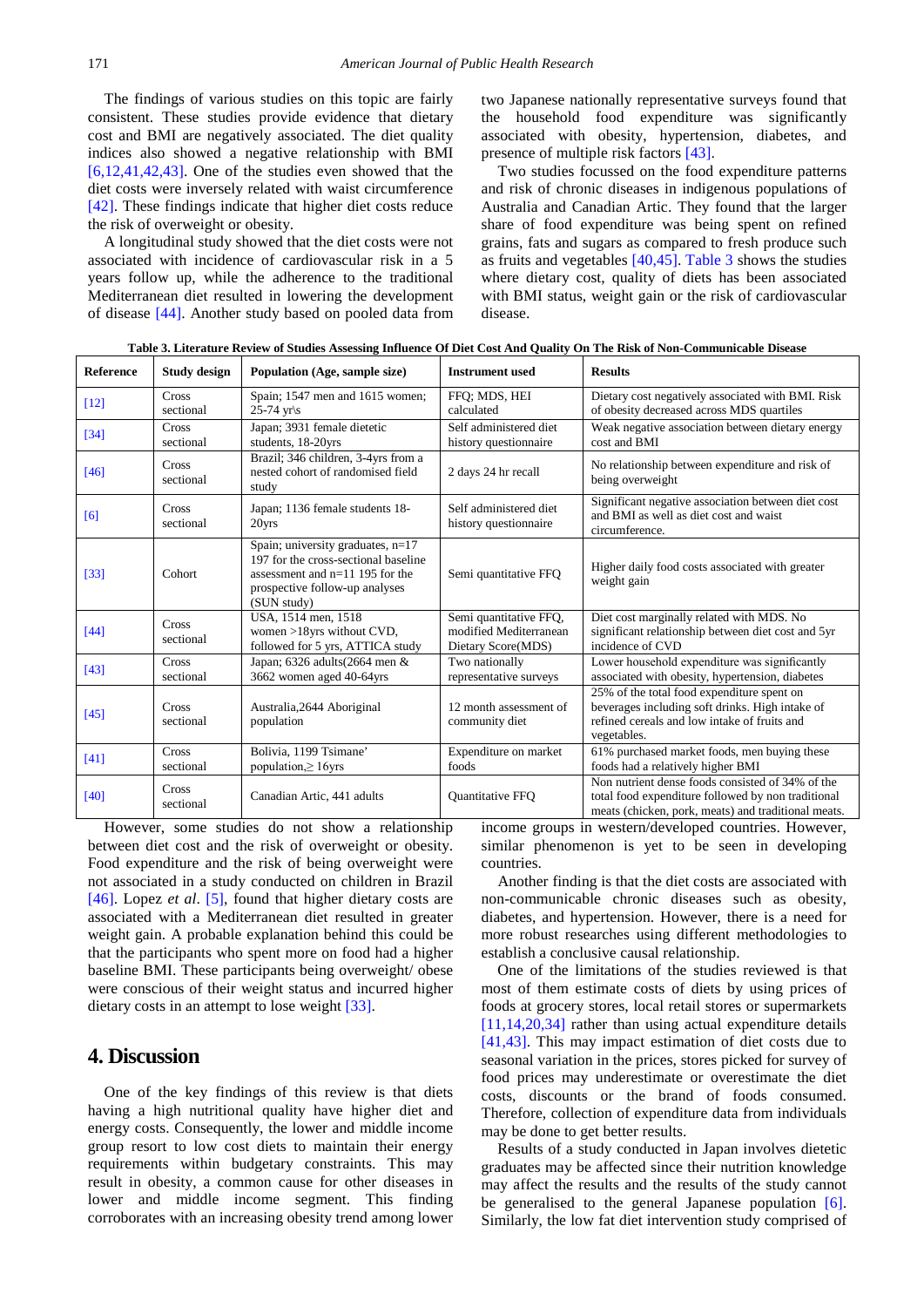The findings of various studies on this topic are fairly consistent. These studies provide evidence that dietary cost and BMI are negatively associated. The diet quality indices also showed a negative relationship with BMI [\[6,12,41,42,43\].](#page-5-10) One of the studies even showed that the diet costs were inversely related with waist circumference [\[42\].](#page-6-29) These findings indicate that higher diet costs reduce the risk of overweight or obesity.

A longitudinal study showed that the diet costs were not associated with incidence of cardiovascular risk in a 5 years follow up, while the adherence to the traditional Mediterranean diet resulted in lowering the development of disease [\[44\].](#page-6-30) Another study based on pooled data from two Japanese nationally representative surveys found that the household food expenditure was significantly associated with obesity, hypertension, diabetes, and presence of multiple risk factors [\[43\].](#page-6-31)

Two studies focussed on the food expenditure patterns and risk of chronic diseases in indigenous populations of Australia and Canadian Artic. They found that the larger share of food expenditure was being spent on refined grains, fats and sugars as compared to fresh produce such as fruits and vegetables [\[40,45\].](#page-6-27) [Table 3](#page-4-0) shows the studies where dietary cost, quality of diets has been associated with BMI status, weight gain or the risk of cardiovascular disease.

<span id="page-4-0"></span>

| <b>Reference</b> | <b>Study design</b> | Population (Age, sample size)                                                                                                                                     | <b>Instrument used</b>                                                 | <b>Results</b>                                                                                                                                                |
|------------------|---------------------|-------------------------------------------------------------------------------------------------------------------------------------------------------------------|------------------------------------------------------------------------|---------------------------------------------------------------------------------------------------------------------------------------------------------------|
| $[12]$           | Cross<br>sectional  | Spain; 1547 men and 1615 women;<br>$25-74$ yr/s                                                                                                                   | FFO: MDS, HEI<br>calculated                                            | Dietary cost negatively associated with BMI. Risk<br>of obesity decreased across MDS quartiles                                                                |
| $[34]$           | Cross<br>sectional  | Japan; 3931 female dietetic<br>students, 18-20yrs                                                                                                                 | Self administered diet<br>history questionnaire                        | Weak negative association between dietary energy<br>cost and BMI                                                                                              |
| $[46]$           | Cross<br>sectional  | Brazil; 346 children, 3-4yrs from a<br>nested cohort of randomised field<br>study                                                                                 | 2 days 24 hr recall                                                    | No relationship between expenditure and risk of<br>being overweight                                                                                           |
| [6]              | Cross<br>sectional  | Japan; 1136 female students 18-<br>20yrs                                                                                                                          | Self administered diet<br>history questionnaire                        | Significant negative association between diet cost<br>and BMI as well as diet cost and waist<br>circumference.                                                |
| [33]             | Cohort              | Spain; university graduates, $n=17$<br>197 for the cross-sectional baseline<br>assessment and $n=11$ 195 for the<br>prospective follow-up analyses<br>(SUN study) | Semi quantitative FFO                                                  | Higher daily food costs associated with greater<br>weight gain                                                                                                |
| $[44]$           | Cross<br>sectional  | USA, 1514 men, 1518<br>women $>18$ yrs without CVD,<br>followed for 5 yrs, ATTICA study                                                                           | Semi quantitative FFQ,<br>modified Mediterranean<br>Dietary Score(MDS) | Diet cost marginally related with MDS. No<br>significant relationship between diet cost and 5yr<br>incidence of CVD                                           |
| $[43]$           | Cross<br>sectional  | Japan; $6326$ adults $(2664$ men &<br>3662 women aged 40-64yrs                                                                                                    | Two nationally<br>representative surveys                               | Lower household expenditure was significantly<br>associated with obesity, hypertension, diabetes                                                              |
| [45]             | Cross<br>sectional  | Australia, 2644 Aboriginal<br>population                                                                                                                          | 12 month assessment of<br>community diet                               | 25% of the total food expenditure spent on<br>beverages including soft drinks. High intake of<br>refined cereals and low intake of fruits and<br>vegetables.  |
| [41]             | Cross<br>sectional  | Bolivia, 1199 Tsimane'<br>population $\geq 16$ yrs                                                                                                                | Expenditure on market<br>foods                                         | 61% purchased market foods, men buying these<br>foods had a relatively higher BMI                                                                             |
| [40]             | Cross<br>sectional  | Canadian Artic, 441 adults                                                                                                                                        | Quantitative FFQ                                                       | Non nutrient dense foods consisted of 34% of the<br>total food expenditure followed by non traditional<br>meats (chicken, pork, meats) and traditional meats. |

**Table 3. Literature Review of Studies Assessing Influence Of Diet Cost And Quality On The Risk of Non-Communicable Disease**

However, some studies do not show a relationship between diet cost and the risk of overweight or obesity. Food expenditure and the risk of being overweight were not associated in a study conducted on children in Brazil [\[46\].](#page-6-32) Lopez *et al*. [\[5\],](#page-5-3) found that higher dietary costs are associated with a Mediterranean diet resulted in greater weight gain. A probable explanation behind this could be that the participants who spent more on food had a higher baseline BMI. These participants being overweight/ obese were conscious of their weight status and incurred higher dietary costs in an attempt to lose weight [\[33\].](#page-6-18) 

#### **4. Discussion**

One of the key findings of this review is that diets having a high nutritional quality have higher diet and energy costs. Consequently, the lower and middle income group resort to low cost diets to maintain their energy requirements within budgetary constraints. This may result in obesity, a common cause for other diseases in lower and middle income segment. This finding corroborates with an increasing obesity trend among lower

income groups in western/developed countries. However, similar phenomenon is yet to be seen in developing countries.

Another finding is that the diet costs are associated with non-communicable chronic diseases such as obesity, diabetes, and hypertension. However, there is a need for more robust researches using different methodologies to establish a conclusive causal relationship.

One of the limitations of the studies reviewed is that most of them estimate costs of diets by using prices of foods at grocery stores, local retail stores or supermarkets [\[11,14,20,34\]](#page-5-6) rather than using actual expenditure details [\[41,43\].](#page-6-28) This may impact estimation of diet costs due to seasonal variation in the prices, stores picked for survey of food prices may underestimate or overestimate the diet costs, discounts or the brand of foods consumed. Therefore, collection of expenditure data from individuals may be done to get better results.

Results of a study conducted in Japan involves dietetic graduates may be affected since their nutrition knowledge may affect the results and the results of the study cannot be generalised to the general Japanese population [\[6\].](#page-5-10) Similarly, the low fat diet intervention study comprised of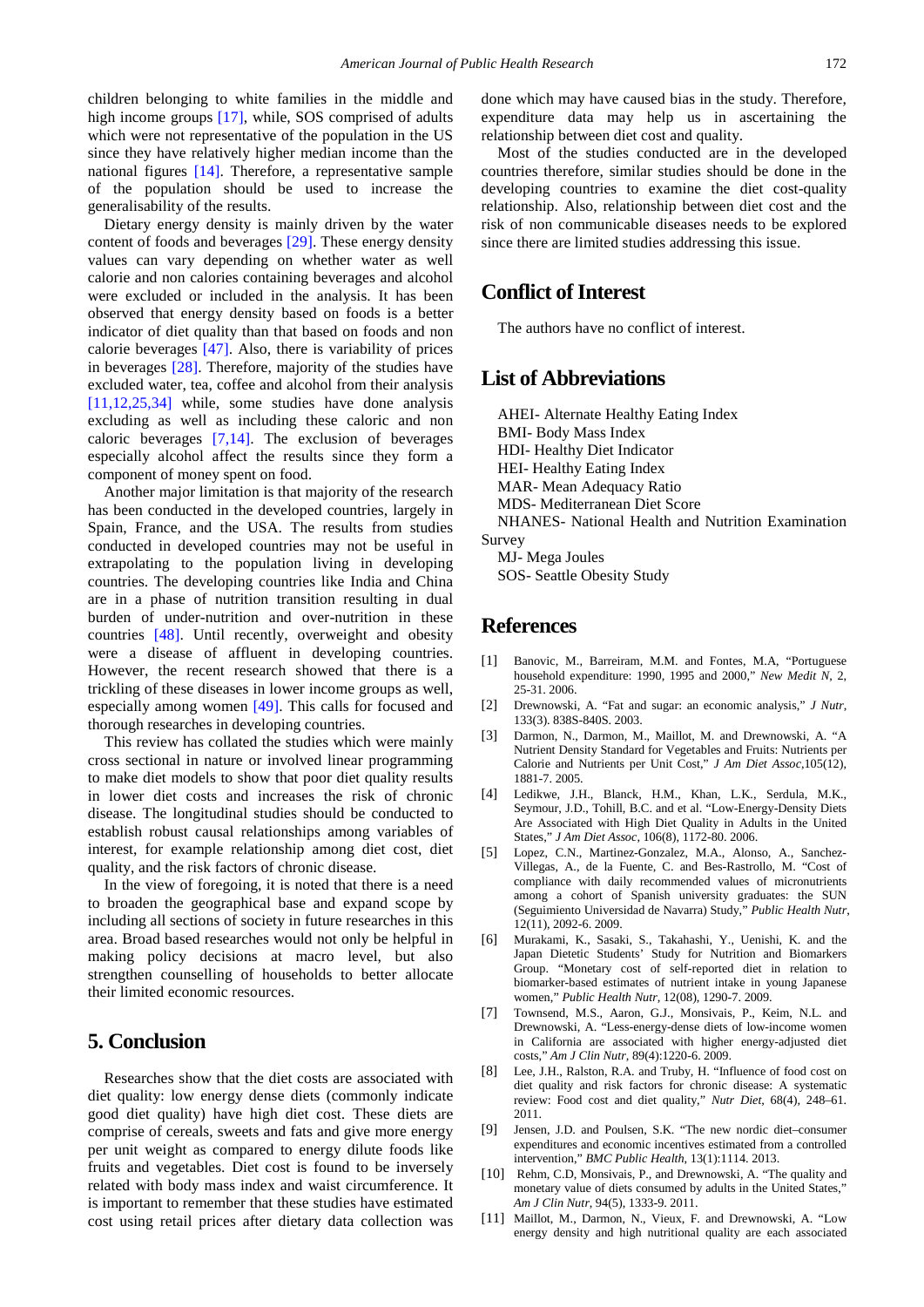children belonging to white families in the middle and high income groups [\[17\],](#page-6-2) while, SOS comprised of adults which were not representative of the population in the US since they have relatively higher median income than the national figures [\[14\].](#page-6-7) Therefore, a representative sample of the population should be used to increase the generalisability of the results.

Dietary energy density is mainly driven by the water content of foods and beverages [\[29\].](#page-6-34) These energy density values can vary depending on whether water as well calorie and non calories containing beverages and alcohol were excluded or included in the analysis. It has been observed that energy density based on foods is a better indicator of diet quality than that based on foods and non calorie beverages [\[47\].](#page-6-35) Also, there is variability of prices in beverages [\[28\].](#page-6-11) Therefore, majority of the studies have excluded water, tea, coffee and alcohol from their analysis [\[11,12,25,34\]](#page-5-6) while, some studies have done analysis excluding as well as including these caloric and non caloric beverages [\[7,14\].](#page-5-9) The exclusion of beverages especially alcohol affect the results since they form a component of money spent on food.

Another major limitation is that majority of the research has been conducted in the developed countries, largely in Spain, France, and the USA. The results from studies conducted in developed countries may not be useful in extrapolating to the population living in developing countries. The developing countries like India and China are in a phase of nutrition transition resulting in dual burden of under-nutrition and over-nutrition in these countries [\[48\].](#page-6-36) Until recently, overweight and obesity were a disease of affluent in developing countries. However, the recent research showed that there is a trickling of these diseases in lower income groups as well, especially among women [\[49\].](#page-6-37) This calls for focused and thorough researches in developing countries.

This review has collated the studies which were mainly cross sectional in nature or involved linear programming to make diet models to show that poor diet quality results in lower diet costs and increases the risk of chronic disease. The longitudinal studies should be conducted to establish robust causal relationships among variables of interest, for example relationship among diet cost, diet quality, and the risk factors of chronic disease.

In the view of foregoing, it is noted that there is a need to broaden the geographical base and expand scope by including all sections of society in future researches in this area. Broad based researches would not only be helpful in making policy decisions at macro level, but also strengthen counselling of households to better allocate their limited economic resources.

#### **5. Conclusion**

Researches show that the diet costs are associated with diet quality: low energy dense diets (commonly indicate good diet quality) have high diet cost. These diets are comprise of cereals, sweets and fats and give more energy per unit weight as compared to energy dilute foods like fruits and vegetables. Diet cost is found to be inversely related with body mass index and waist circumference. It is important to remember that these studies have estimated cost using retail prices after dietary data collection was done which may have caused bias in the study. Therefore, expenditure data may help us in ascertaining the relationship between diet cost and quality.

Most of the studies conducted are in the developed countries therefore, similar studies should be done in the developing countries to examine the diet cost-quality relationship. Also, relationship between diet cost and the risk of non communicable diseases needs to be explored since there are limited studies addressing this issue.

#### **Conflict of Interest**

The authors have no conflict of interest.

#### **List of Abbreviations**

AHEI- Alternate Healthy Eating Index BMI- Body Mass Index HDI- Healthy Diet Indicator HEI- Healthy Eating Index MAR- Mean Adequacy Ratio MDS- Mediterranean Diet Score NHANES- National Health and Nutrition Examination Survey

MJ- Mega Joules SOS- Seattle Obesity Study

#### **References**

- <span id="page-5-0"></span>[1] Banovic, M., Barreiram, M.M. and Fontes, M.A, "Portuguese household expenditure: 1990, 1995 and 2000," *New Medit N*, 2, 25-31. 2006.
- <span id="page-5-1"></span>[2] Drewnowski, A. "Fat and sugar: an economic analysis," *J Nutr*, 133(3). 838S-840S. 2003.
- <span id="page-5-2"></span>[3] Darmon, N., Darmon, M., Maillot, M. and Drewnowski, A. "A Nutrient Density Standard for Vegetables and Fruits: Nutrients per Calorie and Nutrients per Unit Cost," *J Am Diet Assoc*,105(12), 1881-7. 2005.
- <span id="page-5-8"></span>[4] Ledikwe, J.H., Blanck, H.M., Khan, L.K., Serdula, M.K., Seymour, J.D., Tohill, B.C. and et al. "Low-Energy-Density Diets Are Associated with High Diet Quality in Adults in the United States," *J Am Diet Assoc*, 106(8), 1172-80. 2006.
- <span id="page-5-3"></span>[5] Lopez, C.N., Martinez-Gonzalez, M.A., Alonso, A., Sanchez-Villegas, A., de la Fuente, C. and Bes-Rastrollo, M. "Cost of compliance with daily recommended values of micronutrients among a cohort of Spanish university graduates: the SUN (Seguimiento Universidad de Navarra) Study," *Public Health Nutr*, 12(11), 2092-6. 2009.
- <span id="page-5-10"></span>[6] Murakami, K., Sasaki, S., Takahashi, Y., Uenishi, K. and the Japan Dietetic Students' Study for Nutrition and Biomarkers Group. "Monetary cost of self-reported diet in relation to biomarker-based estimates of nutrient intake in young Japanese women," *Public Health Nutr,* 12(08), 1290-7. 2009.
- <span id="page-5-9"></span>[7] Townsend, M.S., Aaron, G.J., Monsivais, P., Keim, N.L. and Drewnowski, A. "Less-energy-dense diets of low-income women in California are associated with higher energy-adjusted diet costs," *Am J Clin Nutr,* 89(4):1220-6. 2009.
- <span id="page-5-4"></span>[8] Lee, J.H., Ralston, R.A. and Truby, H. "Influence of food cost on diet quality and risk factors for chronic disease: A systematic review: Food cost and diet quality," *Nutr Diet,* 68(4), 248–61. 2011.
- <span id="page-5-7"></span>[9] Jensen, J.D. and Poulsen, S.K. "The new nordic diet–consumer expenditures and economic incentives estimated from a controlled intervention," *BMC Public Health*, 13(1):1114. 2013.
- <span id="page-5-5"></span>[10] Rehm, C.D, Monsivais, P., and Drewnowski, A. "The quality and monetary value of diets consumed by adults in the United States," *Am J Clin Nutr*, 94(5), 1333-9. 2011.
- <span id="page-5-6"></span>[11] Maillot, M., Darmon, N., Vieux, F. and Drewnowski, A. "Low energy density and high nutritional quality are each associated